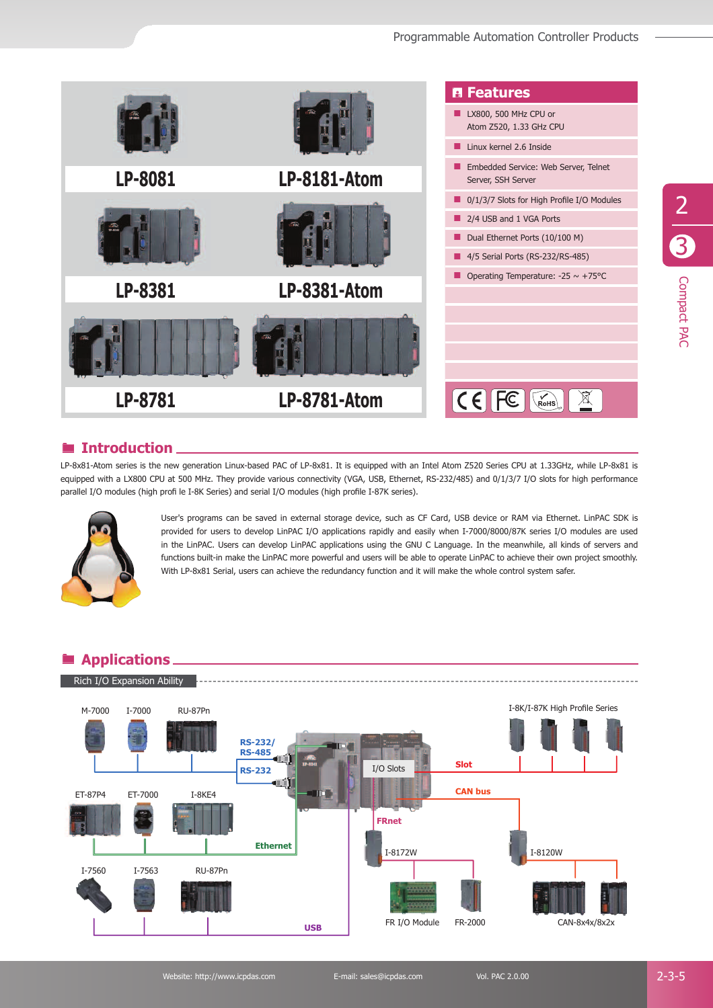

#### ® **Introduction**

LP-8x81-Atom series is the new generation Linux-based PAC of LP-8x81. It is equipped with an Intel Atom Z520 Series CPU at 1.33GHz, while LP-8x81 is equipped with a LX800 CPU at 500 MHz. They provide various connectivity (VGA, USB, Ethernet, RS-232/485) and 0/1/3/7 I/O slots for high performance parallel I/O modules (high profi le I-8K Series) and serial I/O modules (high profile I-87K series).



User's programs can be saved in external storage device, such as CF Card, USB device or RAM via Ethernet. LinPAC SDK is provided for users to develop LinPAC I/O applications rapidly and easily when I-7000/8000/87K series I/O modules are used in the LinPAC. Users can develop LinPAC applications using the GNU C Language. In the meanwhile, all kinds of servers and functions built-in make the LinPAC more powerful and users will be able to operate LinPAC to achieve their own project smoothly. With LP-8x81 Serial, users can achieve the redundancy function and it will make the whole control system safer.

### ® **Applications**